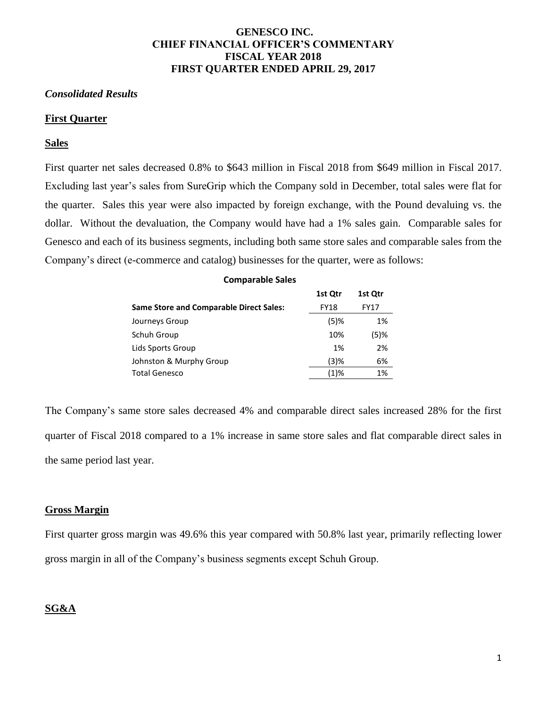## **GENESCO INC. CHIEF FINANCIAL OFFICER'S COMMENTARY FISCAL YEAR 2018 FIRST QUARTER ENDED APRIL 29, 2017**

## *Consolidated Results*

## **First Quarter**

## **Sales**

First quarter net sales decreased 0.8% to \$643 million in Fiscal 2018 from \$649 million in Fiscal 2017. Excluding last year's sales from SureGrip which the Company sold in December, total sales were flat for the quarter. Sales this year were also impacted by foreign exchange, with the Pound devaluing vs. the dollar. Without the devaluation, the Company would have had a 1% sales gain. Comparable sales for Genesco and each of its business segments, including both same store sales and comparable sales from the Company's direct (e-commerce and catalog) businesses for the quarter, were as follows:

## **Comparable Sales**

|                                                | 1st Qtr     | 1st Qtr     |
|------------------------------------------------|-------------|-------------|
| <b>Same Store and Comparable Direct Sales:</b> | <b>FY18</b> | <b>FY17</b> |
| Journeys Group                                 | $(5)$ %     | 1%          |
| Schuh Group                                    | 10%         | $(5)$ %     |
| Lids Sports Group                              | 1%          | 2%          |
| Johnston & Murphy Group                        | (3)%        | 6%          |
| <b>Total Genesco</b>                           | (1)%        | 1%          |

The Company's same store sales decreased 4% and comparable direct sales increased 28% for the first quarter of Fiscal 2018 compared to a 1% increase in same store sales and flat comparable direct sales in the same period last year.

## **Gross Margin**

First quarter gross margin was 49.6% this year compared with 50.8% last year, primarily reflecting lower gross margin in all of the Company's business segments except Schuh Group.

## **SG&A**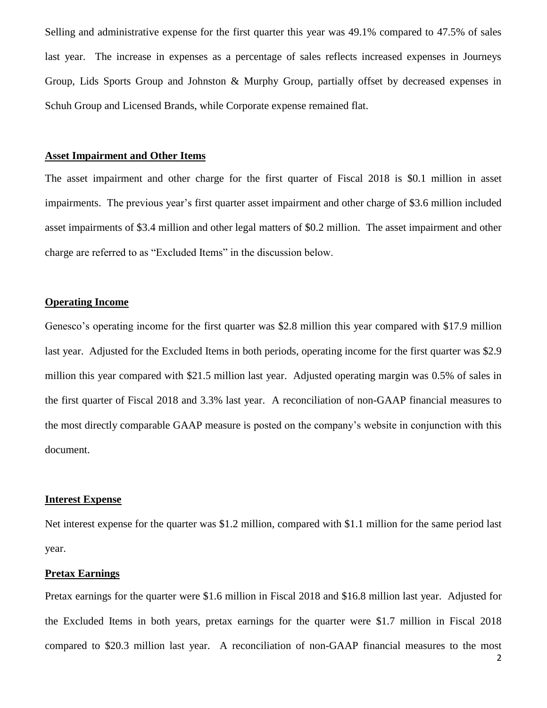Selling and administrative expense for the first quarter this year was 49.1% compared to 47.5% of sales last year. The increase in expenses as a percentage of sales reflects increased expenses in Journeys Group, Lids Sports Group and Johnston & Murphy Group, partially offset by decreased expenses in Schuh Group and Licensed Brands, while Corporate expense remained flat.

## **Asset Impairment and Other Items**

The asset impairment and other charge for the first quarter of Fiscal 2018 is \$0.1 million in asset impairments. The previous year's first quarter asset impairment and other charge of \$3.6 million included asset impairments of \$3.4 million and other legal matters of \$0.2 million. The asset impairment and other charge are referred to as "Excluded Items" in the discussion below.

## **Operating Income**

Genesco's operating income for the first quarter was \$2.8 million this year compared with \$17.9 million last year. Adjusted for the Excluded Items in both periods, operating income for the first quarter was \$2.9 million this year compared with \$21.5 million last year. Adjusted operating margin was 0.5% of sales in the first quarter of Fiscal 2018 and 3.3% last year. A reconciliation of non-GAAP financial measures to the most directly comparable GAAP measure is posted on the company's website in conjunction with this document.

#### **Interest Expense**

Net interest expense for the quarter was \$1.2 million, compared with \$1.1 million for the same period last year.

#### **Pretax Earnings**

Pretax earnings for the quarter were \$1.6 million in Fiscal 2018 and \$16.8 million last year. Adjusted for the Excluded Items in both years, pretax earnings for the quarter were \$1.7 million in Fiscal 2018 compared to \$20.3 million last year. A reconciliation of non-GAAP financial measures to the most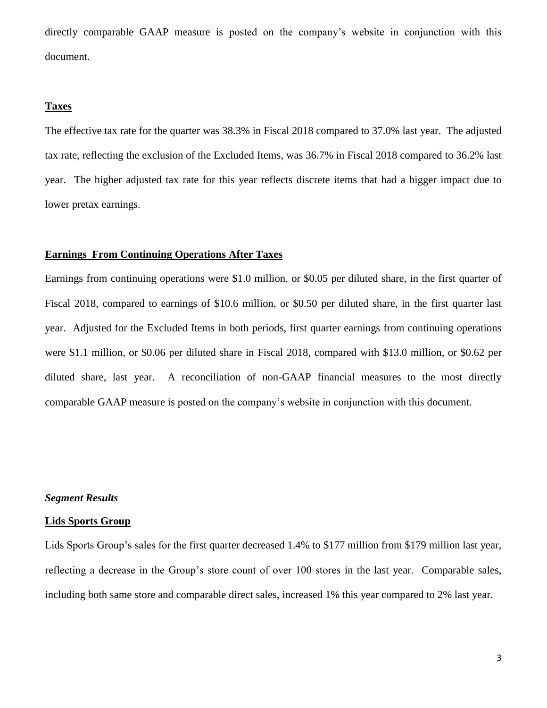directly comparable GAAP measure is posted on the company's website in conjunction with this document.

## **Taxes**

The effective tax rate for the quarter was 38.3% in Fiscal 2018 compared to 37.0% last year. The adjusted tax rate, reflecting the exclusion of the Excluded Items, was 36.7% in Fiscal 2018 compared to 36.2% last year. The higher adjusted tax rate for this year reflects discrete items that had a bigger impact due to lower pretax earnings.

#### **Earnings From Continuing Operations After Taxes**

Earnings from continuing operations were \$1.0 million, or \$0.05 per diluted share, in the first quarter of Fiscal 2018, compared to earnings of \$10.6 million, or \$0.50 per diluted share, in the first quarter last year. Adjusted for the Excluded Items in both periods, first quarter earnings from continuing operations were \$1.1 million, or \$0.06 per diluted share in Fiscal 2018, compared with \$13.0 million, or \$0.62 per diluted share, last year. A reconciliation of non-GAAP financial measures to the most directly comparable GAAP measure is posted on the company's website in conjunction with this document.

## *Segment Results*

#### **Lids Sports Group**

Lids Sports Group's sales for the first quarter decreased 1.4% to \$177 million from \$179 million last year, reflecting a decrease in the Group's store count of over 100 stores in the last year. Comparable sales, including both same store and comparable direct sales, increased 1% this year compared to 2% last year.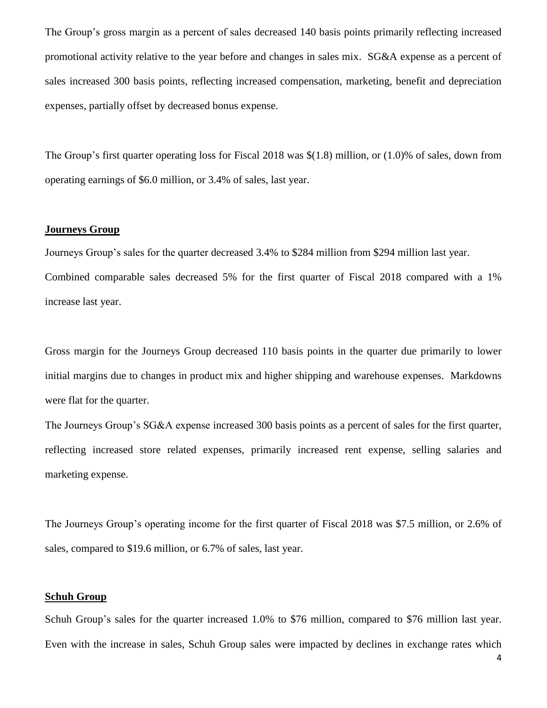The Group's gross margin as a percent of sales decreased 140 basis points primarily reflecting increased promotional activity relative to the year before and changes in sales mix. SG&A expense as a percent of sales increased 300 basis points, reflecting increased compensation, marketing, benefit and depreciation expenses, partially offset by decreased bonus expense.

The Group's first quarter operating loss for Fiscal 2018 was \$(1.8) million, or (1.0)% of sales, down from operating earnings of \$6.0 million, or 3.4% of sales, last year.

## **Journeys Group**

Journeys Group's sales for the quarter decreased 3.4% to \$284 million from \$294 million last year. Combined comparable sales decreased 5% for the first quarter of Fiscal 2018 compared with a 1% increase last year.

Gross margin for the Journeys Group decreased 110 basis points in the quarter due primarily to lower initial margins due to changes in product mix and higher shipping and warehouse expenses. Markdowns were flat for the quarter.

The Journeys Group's SG&A expense increased 300 basis points as a percent of sales for the first quarter, reflecting increased store related expenses, primarily increased rent expense, selling salaries and marketing expense.

The Journeys Group's operating income for the first quarter of Fiscal 2018 was \$7.5 million, or 2.6% of sales, compared to \$19.6 million, or 6.7% of sales, last year.

## **Schuh Group**

Schuh Group's sales for the quarter increased 1.0% to \$76 million, compared to \$76 million last year. Even with the increase in sales, Schuh Group sales were impacted by declines in exchange rates which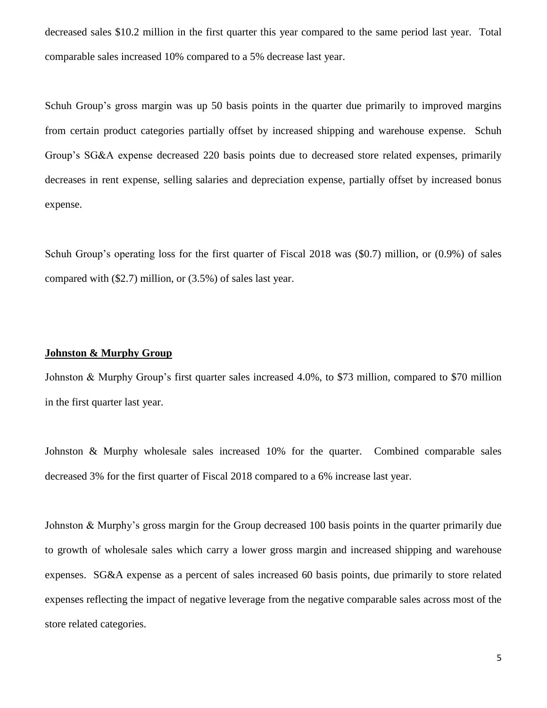decreased sales \$10.2 million in the first quarter this year compared to the same period last year. Total comparable sales increased 10% compared to a 5% decrease last year.

Schuh Group's gross margin was up 50 basis points in the quarter due primarily to improved margins from certain product categories partially offset by increased shipping and warehouse expense. Schuh Group's SG&A expense decreased 220 basis points due to decreased store related expenses, primarily decreases in rent expense, selling salaries and depreciation expense, partially offset by increased bonus expense.

Schuh Group's operating loss for the first quarter of Fiscal 2018 was (\$0.7) million, or (0.9%) of sales compared with (\$2.7) million, or (3.5%) of sales last year.

## **Johnston & Murphy Group**

Johnston & Murphy Group's first quarter sales increased 4.0%, to \$73 million, compared to \$70 million in the first quarter last year.

Johnston & Murphy wholesale sales increased 10% for the quarter. Combined comparable sales decreased 3% for the first quarter of Fiscal 2018 compared to a 6% increase last year.

Johnston & Murphy's gross margin for the Group decreased 100 basis points in the quarter primarily due to growth of wholesale sales which carry a lower gross margin and increased shipping and warehouse expenses. SG&A expense as a percent of sales increased 60 basis points, due primarily to store related expenses reflecting the impact of negative leverage from the negative comparable sales across most of the store related categories.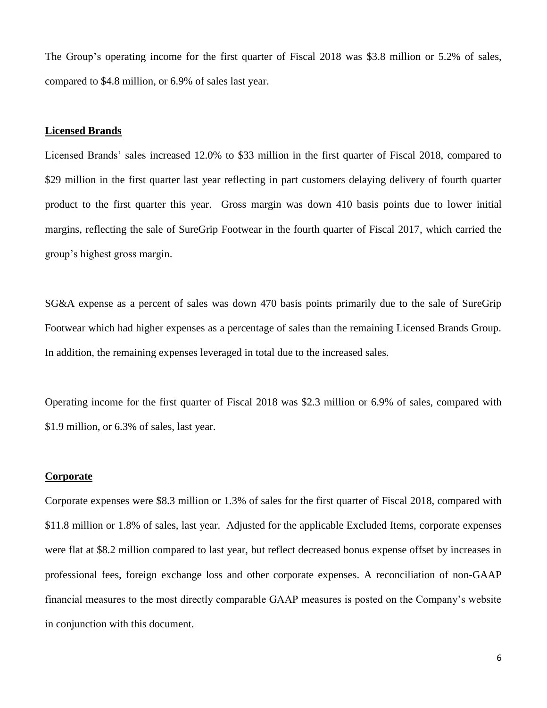The Group's operating income for the first quarter of Fiscal 2018 was \$3.8 million or 5.2% of sales, compared to \$4.8 million, or 6.9% of sales last year.

## **Licensed Brands**

Licensed Brands' sales increased 12.0% to \$33 million in the first quarter of Fiscal 2018, compared to \$29 million in the first quarter last year reflecting in part customers delaying delivery of fourth quarter product to the first quarter this year. Gross margin was down 410 basis points due to lower initial margins, reflecting the sale of SureGrip Footwear in the fourth quarter of Fiscal 2017, which carried the group's highest gross margin.

SG&A expense as a percent of sales was down 470 basis points primarily due to the sale of SureGrip Footwear which had higher expenses as a percentage of sales than the remaining Licensed Brands Group. In addition, the remaining expenses leveraged in total due to the increased sales.

Operating income for the first quarter of Fiscal 2018 was \$2.3 million or 6.9% of sales, compared with \$1.9 million, or 6.3% of sales, last year.

## **Corporate**

Corporate expenses were \$8.3 million or 1.3% of sales for the first quarter of Fiscal 2018, compared with \$11.8 million or 1.8% of sales, last year. Adjusted for the applicable Excluded Items, corporate expenses were flat at \$8.2 million compared to last year, but reflect decreased bonus expense offset by increases in professional fees, foreign exchange loss and other corporate expenses. A reconciliation of non-GAAP financial measures to the most directly comparable GAAP measures is posted on the Company's website in conjunction with this document.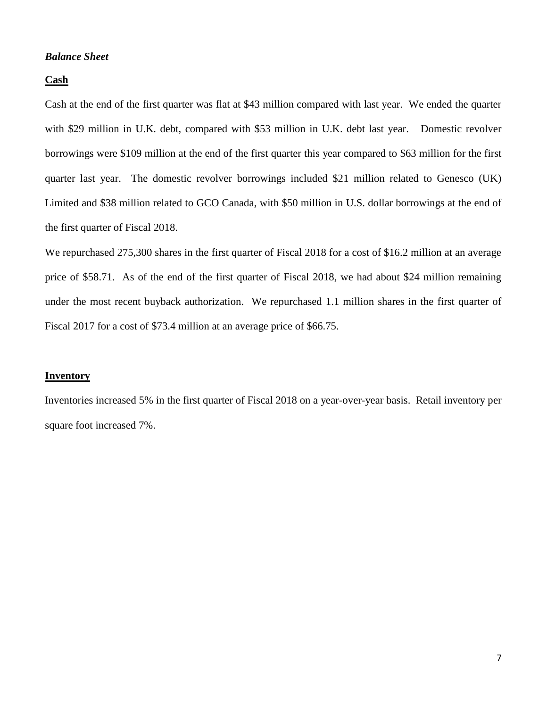## *Balance Sheet*

## **Cash**

Cash at the end of the first quarter was flat at \$43 million compared with last year. We ended the quarter with \$29 million in U.K. debt, compared with \$53 million in U.K. debt last year. Domestic revolver borrowings were \$109 million at the end of the first quarter this year compared to \$63 million for the first quarter last year. The domestic revolver borrowings included \$21 million related to Genesco (UK) Limited and \$38 million related to GCO Canada, with \$50 million in U.S. dollar borrowings at the end of the first quarter of Fiscal 2018.

We repurchased 275,300 shares in the first quarter of Fiscal 2018 for a cost of \$16.2 million at an average price of \$58.71. As of the end of the first quarter of Fiscal 2018, we had about \$24 million remaining under the most recent buyback authorization. We repurchased 1.1 million shares in the first quarter of Fiscal 2017 for a cost of \$73.4 million at an average price of \$66.75.

## **Inventory**

Inventories increased 5% in the first quarter of Fiscal 2018 on a year-over-year basis. Retail inventory per square foot increased 7%.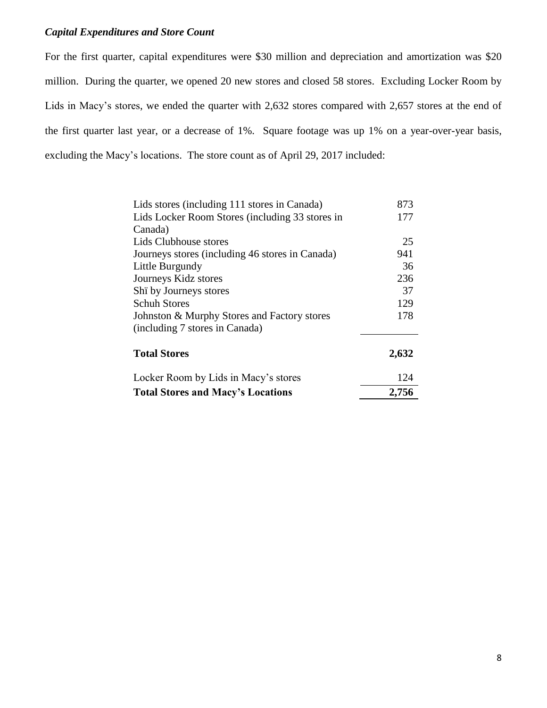## *Capital Expenditures and Store Count*

For the first quarter, capital expenditures were \$30 million and depreciation and amortization was \$20 million. During the quarter, we opened 20 new stores and closed 58 stores. Excluding Locker Room by Lids in Macy's stores, we ended the quarter with 2,632 stores compared with 2,657 stores at the end of the first quarter last year, or a decrease of 1%. Square footage was up 1% on a year-over-year basis, excluding the Macy's locations. The store count as of April 29, 2017 included:

| Lids stores (including 111 stores in Canada)    | 873   |
|-------------------------------------------------|-------|
| Lids Locker Room Stores (including 33 stores in | 177   |
| Canada)                                         |       |
| Lids Clubhouse stores                           | 25    |
| Journeys stores (including 46 stores in Canada) | 941   |
| Little Burgundy                                 | 36    |
| Journeys Kidz stores                            | 236   |
| Shi by Journeys stores                          | 37    |
| <b>Schuh Stores</b>                             | 129   |
| Johnston & Murphy Stores and Factory stores     | 178   |
| (including 7 stores in Canada)                  |       |
| <b>Total Stores</b>                             | 2,632 |
| Locker Room by Lids in Macy's stores            | 124   |
| <b>Total Stores and Macy's Locations</b>        | 2,756 |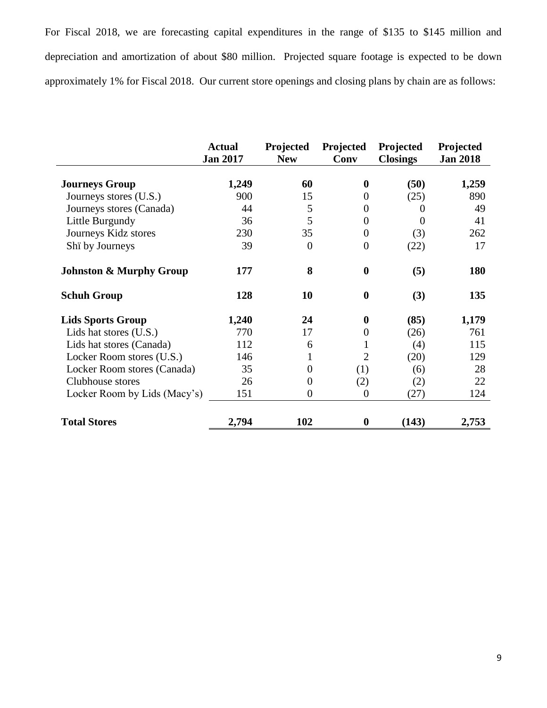For Fiscal 2018, we are forecasting capital expenditures in the range of \$135 to \$145 million and depreciation and amortization of about \$80 million. Projected square footage is expected to be down approximately 1% for Fiscal 2018. Our current store openings and closing plans by chain are as follows:

|                                    | <b>Actual</b><br><b>Jan 2017</b> | Projected<br><b>New</b> | Projected<br>Conv | Projected<br><b>Closings</b> | Projected<br><b>Jan 2018</b> |
|------------------------------------|----------------------------------|-------------------------|-------------------|------------------------------|------------------------------|
| <b>Journeys Group</b>              | 1,249                            | 60                      | $\bf{0}$          | (50)                         | 1,259                        |
| Journeys stores (U.S.)             | 900                              | 15                      | $\overline{0}$    | (25)                         | 890                          |
| Journeys stores (Canada)           | 44                               | 5                       | $\theta$          | $\Omega$                     | 49                           |
| Little Burgundy                    | 36                               | 5                       | $\theta$          | $\Omega$                     | 41                           |
| Journeys Kidz stores               | 230                              | 35                      | $\theta$          | (3)                          | 262                          |
| Shi by Journeys                    | 39                               | $\theta$                | $\boldsymbol{0}$  | (22)                         | 17                           |
| <b>Johnston &amp; Murphy Group</b> | 177                              | 8                       | $\boldsymbol{0}$  | (5)                          | <b>180</b>                   |
| <b>Schuh Group</b>                 | 128                              | 10                      | $\boldsymbol{0}$  | (3)                          | 135                          |
| <b>Lids Sports Group</b>           | 1,240                            | 24                      | $\bf{0}$          | (85)                         | 1,179                        |
| Lids hat stores (U.S.)             | 770                              | 17                      | $\boldsymbol{0}$  | (26)                         | 761                          |
| Lids hat stores (Canada)           | 112                              | 6                       |                   | (4)                          | 115                          |
| Locker Room stores (U.S.)          | 146                              | 1                       | $\overline{2}$    | (20)                         | 129                          |
| Locker Room stores (Canada)        | 35                               | 0                       | (1)               | (6)                          | 28                           |
| Clubhouse stores                   | 26                               | $\Omega$                | (2)               | (2)                          | 22                           |
| Locker Room by Lids (Macy's)       | 151                              | 0                       | $\theta$          | (27)                         | 124                          |
| <b>Total Stores</b>                | 2,794                            | 102                     | 0                 | (143)                        | 2,753                        |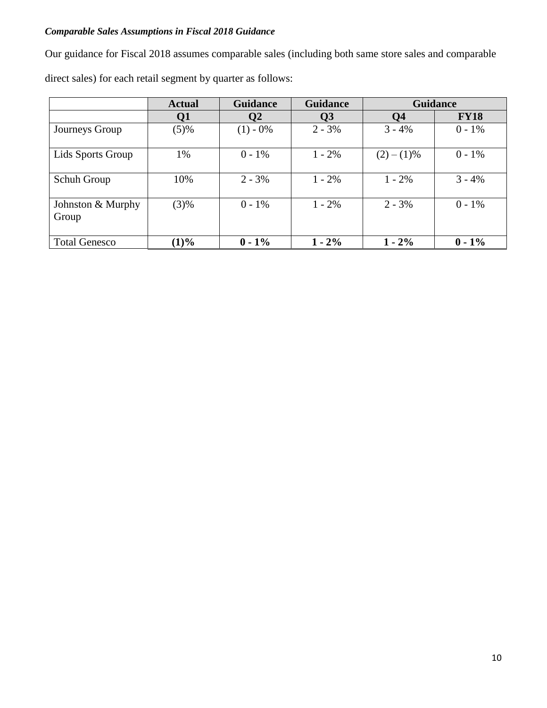# *Comparable Sales Assumptions in Fiscal 2018 Guidance*

Our guidance for Fiscal 2018 assumes comparable sales (including both same store sales and comparable

direct sales) for each retail segment by quarter as follows:

|                            | <b>Actual</b> | <b>Guidance</b> | <b>Guidance</b>         | <b>Guidance</b> |             |
|----------------------------|---------------|-----------------|-------------------------|-----------------|-------------|
|                            | Q1            | Q2              | $\overline{\mathbf{Q}}$ | Q <sub>4</sub>  | <b>FY18</b> |
| Journeys Group             | (5)%          | $(1) - 0\%$     | $2 - 3%$                | $3 - 4%$        | $0 - 1\%$   |
| Lids Sports Group          | 1%            | $0 - 1\%$       | $1 - 2\%$               | $(2)-(1)\%$     | $0 - 1\%$   |
| Schuh Group                | 10%           | $2 - 3\%$       | $1 - 2\%$               | $1 - 2\%$       | $3 - 4%$    |
| Johnston & Murphy<br>Group | (3)%          | $0 - 1\%$       | $1 - 2\%$               | $2 - 3\%$       | $0 - 1\%$   |
| <b>Total Genesco</b>       | $(1)\%$       | $0 - 1\%$       | $1 - 2\%$               | $1 - 2\%$       | $0 - 1\%$   |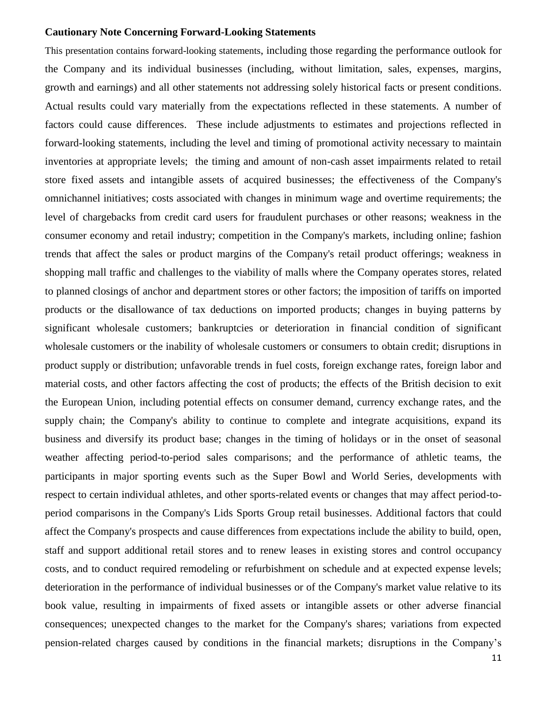#### **Cautionary Note Concerning Forward-Looking Statements**

This presentation contains forward-looking statements, including those regarding the performance outlook for the Company and its individual businesses (including, without limitation, sales, expenses, margins, growth and earnings) and all other statements not addressing solely historical facts or present conditions. Actual results could vary materially from the expectations reflected in these statements. A number of factors could cause differences. These include adjustments to estimates and projections reflected in forward-looking statements, including the level and timing of promotional activity necessary to maintain inventories at appropriate levels; the timing and amount of non-cash asset impairments related to retail store fixed assets and intangible assets of acquired businesses; the effectiveness of the Company's omnichannel initiatives; costs associated with changes in minimum wage and overtime requirements; the level of chargebacks from credit card users for fraudulent purchases or other reasons; weakness in the consumer economy and retail industry; competition in the Company's markets, including online; fashion trends that affect the sales or product margins of the Company's retail product offerings; weakness in shopping mall traffic and challenges to the viability of malls where the Company operates stores, related to planned closings of anchor and department stores or other factors; the imposition of tariffs on imported products or the disallowance of tax deductions on imported products; changes in buying patterns by significant wholesale customers; bankruptcies or deterioration in financial condition of significant wholesale customers or the inability of wholesale customers or consumers to obtain credit; disruptions in product supply or distribution; unfavorable trends in fuel costs, foreign exchange rates, foreign labor and material costs, and other factors affecting the cost of products; the effects of the British decision to exit the European Union, including potential effects on consumer demand, currency exchange rates, and the supply chain; the Company's ability to continue to complete and integrate acquisitions, expand its business and diversify its product base; changes in the timing of holidays or in the onset of seasonal weather affecting period-to-period sales comparisons; and the performance of athletic teams, the participants in major sporting events such as the Super Bowl and World Series, developments with respect to certain individual athletes, and other sports-related events or changes that may affect period-toperiod comparisons in the Company's Lids Sports Group retail businesses. Additional factors that could affect the Company's prospects and cause differences from expectations include the ability to build, open, staff and support additional retail stores and to renew leases in existing stores and control occupancy costs, and to conduct required remodeling or refurbishment on schedule and at expected expense levels; deterioration in the performance of individual businesses or of the Company's market value relative to its book value, resulting in impairments of fixed assets or intangible assets or other adverse financial consequences; unexpected changes to the market for the Company's shares; variations from expected pension-related charges caused by conditions in the financial markets; disruptions in the Company's